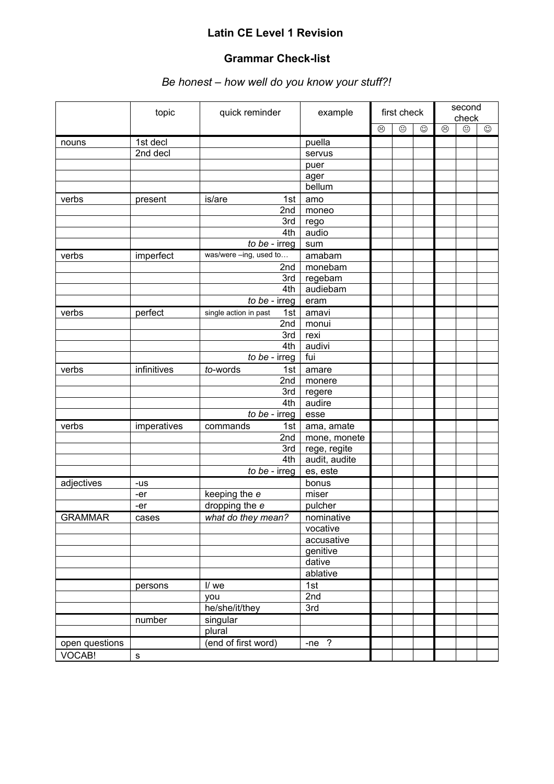## **Latin CE Level 1 Revision**

## **Grammar Check-list**

## *Be honest – how well do you know your stuff?!*

|                | topic       | quick reminder               | example       |   | first check |   | second<br>check |         |         |
|----------------|-------------|------------------------------|---------------|---|-------------|---|-----------------|---------|---------|
|                |             |                              |               | ☺ | ☺           | ☺ | ☺               | $\odot$ | $\odot$ |
| nouns          | 1st decl    |                              | puella        |   |             |   |                 |         |         |
|                | 2nd decl    |                              | servus        |   |             |   |                 |         |         |
|                |             |                              | puer          |   |             |   |                 |         |         |
|                |             |                              | ager          |   |             |   |                 |         |         |
|                |             |                              | bellum        |   |             |   |                 |         |         |
| verbs          | present     | is/are<br>1st                | amo           |   |             |   |                 |         |         |
|                |             | 2nd                          | moneo         |   |             |   |                 |         |         |
|                |             | 3rd                          | rego          |   |             |   |                 |         |         |
|                |             | 4th                          | audio         |   |             |   |                 |         |         |
|                |             | to be - irreg                | sum           |   |             |   |                 |         |         |
| verbs          | imperfect   | was/were -ing, used to       | amabam        |   |             |   |                 |         |         |
|                |             | 2nd                          | monebam       |   |             |   |                 |         |         |
|                |             | 3rd                          | regebam       |   |             |   |                 |         |         |
|                |             | 4th                          | audiebam      |   |             |   |                 |         |         |
|                |             | $\overline{to}$ be - irreg   | eram          |   |             |   |                 |         |         |
| verbs          | perfect     | single action in past<br>1st | amavi         |   |             |   |                 |         |         |
|                |             | 2nd                          | monui         |   |             |   |                 |         |         |
|                |             | 3rd                          | rexi          |   |             |   |                 |         |         |
|                |             | 4th                          | audivi        |   |             |   |                 |         |         |
|                |             | to be - irreg                | fui           |   |             |   |                 |         |         |
| verbs          | infinitives | to-words<br>1st              | amare         |   |             |   |                 |         |         |
|                |             | 2nd                          | monere        |   |             |   |                 |         |         |
|                |             | 3rd                          | regere        |   |             |   |                 |         |         |
|                |             | 4th                          | audire        |   |             |   |                 |         |         |
|                |             | to be - irreg                | esse          |   |             |   |                 |         |         |
| verbs          | imperatives | commands<br>1st              | ama, amate    |   |             |   |                 |         |         |
|                |             | 2nd                          | mone, monete  |   |             |   |                 |         |         |
|                |             | 3rd                          | rege, regite  |   |             |   |                 |         |         |
|                |             | 4th                          | audit, audite |   |             |   |                 |         |         |
|                |             | to be - irreg                | es, este      |   |             |   |                 |         |         |
| adjectives     | -us         |                              | bonus         |   |             |   |                 |         |         |
|                | -er         | keeping the e                | miser         |   |             |   |                 |         |         |
|                | -er         | dropping the e               | pulcher       |   |             |   |                 |         |         |
| <b>GRAMMAR</b> | cases       | what do they mean?           | nominative    |   |             |   |                 |         |         |
|                |             |                              | vocative      |   |             |   |                 |         |         |
|                |             |                              | accusative    |   |             |   |                 |         |         |
|                |             |                              | genitive      |   |             |   |                 |         |         |
|                |             |                              | dative        |   |             |   |                 |         |         |
|                |             |                              | ablative      |   |             |   |                 |         |         |
|                | persons     | I/ we                        | 1st           |   |             |   |                 |         |         |
|                |             | you                          | 2nd           |   |             |   |                 |         |         |
|                |             | he/she/it/they               | 3rd           |   |             |   |                 |         |         |
|                | number      | singular                     |               |   |             |   |                 |         |         |
|                |             | plural                       |               |   |             |   |                 |         |         |
| open questions |             | (end of first word)          | $-ne$ ?       |   |             |   |                 |         |         |
| VOCAB!         | s           |                              |               |   |             |   |                 |         |         |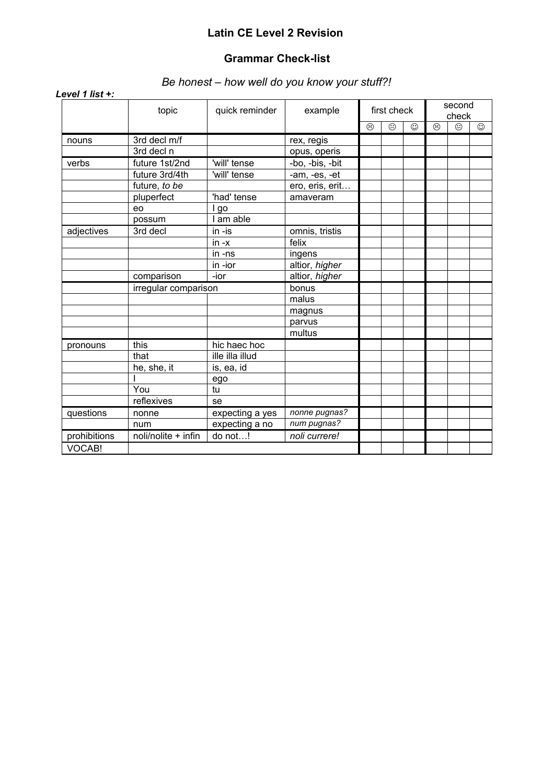## **Latin CE Level 2 Revision**

### **Grammar Check-list**

## *Be honest – how well do you know your stuff?!*

|              | topic                | quick reminder  | example         |         | first check |   |   | second<br>check |         |
|--------------|----------------------|-----------------|-----------------|---------|-------------|---|---|-----------------|---------|
|              |                      |                 |                 | $\odot$ | $\odot$     | ☺ | ⊗ | $\odot$         | $\odot$ |
| nouns        | 3rd decl m/f         |                 | rex, regis      |         |             |   |   |                 |         |
|              | 3rd decl n           |                 | opus, operis    |         |             |   |   |                 |         |
| verbs        | future 1st/2nd       | 'will' tense    | -bo, -bis, -bit |         |             |   |   |                 |         |
|              | future 3rd/4th       | 'will' tense    | -am, -es, -et   |         |             |   |   |                 |         |
|              | future, to be        |                 | ero, eris, erit |         |             |   |   |                 |         |
|              | pluperfect           | 'had' tense     | amaveram        |         |             |   |   |                 |         |
|              | eo                   | I go            |                 |         |             |   |   |                 |         |
|              | possum               | I am able       |                 |         |             |   |   |                 |         |
| adjectives   | 3rd decl             | in -is          | omnis, tristis  |         |             |   |   |                 |         |
|              |                      | $in -x$         | felix           |         |             |   |   |                 |         |
|              |                      | in -ns          | ingens          |         |             |   |   |                 |         |
|              |                      | in -ior         | altior, higher  |         |             |   |   |                 |         |
|              | comparison           | -ior            | altior, higher  |         |             |   |   |                 |         |
|              | irregular comparison |                 | bonus           |         |             |   |   |                 |         |
|              |                      |                 | malus           |         |             |   |   |                 |         |
|              |                      |                 | magnus          |         |             |   |   |                 |         |
|              |                      |                 | parvus          |         |             |   |   |                 |         |
|              |                      |                 | multus          |         |             |   |   |                 |         |
| pronouns     | this                 | hic haec hoc    |                 |         |             |   |   |                 |         |
|              | that                 | ille illa illud |                 |         |             |   |   |                 |         |
|              | he, she, it          | is, ea, id      |                 |         |             |   |   |                 |         |
|              |                      | ego             |                 |         |             |   |   |                 |         |
|              | You                  | tu              |                 |         |             |   |   |                 |         |
|              | reflexives           | se              |                 |         |             |   |   |                 |         |
| questions    | nonne                | expecting a yes | nonne pugnas?   |         |             |   |   |                 |         |
|              | num                  | expecting a no  | num pugnas?     |         |             |   |   |                 |         |
| prohibitions | noli/nolite + infin  | do not!         | noli currere!   |         |             |   |   |                 |         |
| VOCAB!       |                      |                 |                 |         |             |   |   |                 |         |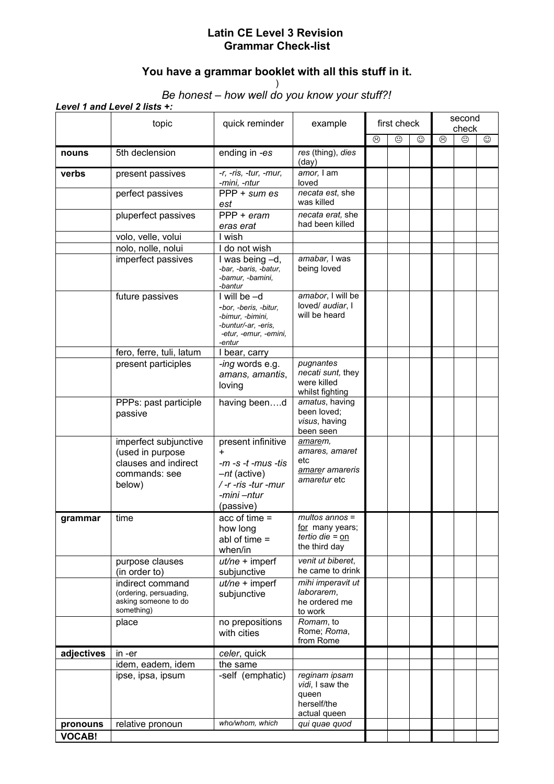## **Latin CE Level 3 Revision Grammar Check-list**

# **You have a grammar booklet with all this stuff in it.**

)

#### *Be honest – how well do you know your stuff?!*

|               | topic                                                                                        | quick reminder                                                                                                       | example                                                                   | first check |   |   | second<br>check |         |         |  |
|---------------|----------------------------------------------------------------------------------------------|----------------------------------------------------------------------------------------------------------------------|---------------------------------------------------------------------------|-------------|---|---|-----------------|---------|---------|--|
|               |                                                                                              |                                                                                                                      |                                                                           | $\odot$     | ☺ | ☺ | $\odot$         | $\odot$ | $\odot$ |  |
| nouns         | 5th declension                                                                               | ending in -es                                                                                                        | res (thing), dies<br>(day)                                                |             |   |   |                 |         |         |  |
| verbs         | present passives                                                                             | -r, -ris, -tur, -mur,<br>-mini, -ntur                                                                                | amor, I am<br>loved                                                       |             |   |   |                 |         |         |  |
|               | perfect passives                                                                             | $PPP + sum es$<br>est                                                                                                | necata est, she<br>was killed                                             |             |   |   |                 |         |         |  |
|               | pluperfect passives                                                                          | $PPP + eram$<br>eras erat                                                                                            | necata erat, she<br>had been killed                                       |             |   |   |                 |         |         |  |
|               | volo, velle, volui                                                                           | I wish                                                                                                               |                                                                           |             |   |   |                 |         |         |  |
|               | nolo, nolle, nolui                                                                           | I do not wish                                                                                                        |                                                                           |             |   |   |                 |         |         |  |
|               | imperfect passives                                                                           | I was being -d,<br>-bar, -baris, -batur,<br>-bamur, -bamini,<br>-bantur                                              | amabar, I was<br>being loved                                              |             |   |   |                 |         |         |  |
|               | future passives                                                                              | I will be -d<br>-bor, -beris, -bitur,<br>-bimur. -bimini.<br>-buntur/-ar, -eris,<br>-etur, -emur, -emini,<br>-entur  | amabor, I will be<br>loved/ audiar, I<br>will be heard                    |             |   |   |                 |         |         |  |
|               | fero, ferre, tuli, latum                                                                     | I bear, carry                                                                                                        |                                                                           |             |   |   |                 |         |         |  |
|               | present participles                                                                          | -ing words e.g.<br>amans, amantis,<br>loving                                                                         | pugnantes<br>necati sunt, they<br>were killed<br>whilst fighting          |             |   |   |                 |         |         |  |
|               | PPPs: past participle<br>passive                                                             | having beend                                                                                                         | amatus, having<br>been loved;<br>visus, having<br>been seen               |             |   |   |                 |         |         |  |
|               | imperfect subjunctive<br>(used in purpose<br>clauses and indirect<br>commands: see<br>below) | present infinitive<br>$\ddot{}$<br>-m -s -t -mus -tis<br>-nt (active)<br>/-r-ris-tur-mur<br>-mini -ntur<br>(passive) | amarem,<br>amares, amaret<br>etc<br>amarer amareris<br>amaretur etc       |             |   |   |                 |         |         |  |
| grammar       | time                                                                                         | $acc of time =$<br>how long<br>abl of time $=$<br>when/in                                                            | $multos$ annos =<br>for many years;<br>tertio die = $on$<br>the third day |             |   |   |                 |         |         |  |
|               | purpose clauses<br>(in order to)                                                             | $ut/ne + imperf$<br>subjunctive                                                                                      | venit ut biberet,<br>he came to drink                                     |             |   |   |                 |         |         |  |
|               | indirect command<br>(ordering, persuading,<br>asking someone to do<br>something)             | $ut/ne + imperf$<br>subjunctive                                                                                      | mihi imperavit ut<br>laborarem,<br>he ordered me<br>to work               |             |   |   |                 |         |         |  |
|               | place                                                                                        | no prepositions<br>with cities                                                                                       | Romam, to<br>Rome; Roma,<br>from Rome                                     |             |   |   |                 |         |         |  |
| adjectives    | in -er                                                                                       | celer, quick                                                                                                         |                                                                           |             |   |   |                 |         |         |  |
|               | idem, eadem, idem                                                                            | the same                                                                                                             |                                                                           |             |   |   |                 |         |         |  |
|               | ipse, ipsa, ipsum                                                                            | -self (emphatic)                                                                                                     | reginam ipsam<br>vidi, I saw the<br>queen<br>herself/the<br>actual queen  |             |   |   |                 |         |         |  |
| pronouns      | relative pronoun                                                                             | who/whom, which                                                                                                      | qui quae quod                                                             |             |   |   |                 |         |         |  |
| <b>VOCAB!</b> |                                                                                              |                                                                                                                      |                                                                           |             |   |   |                 |         |         |  |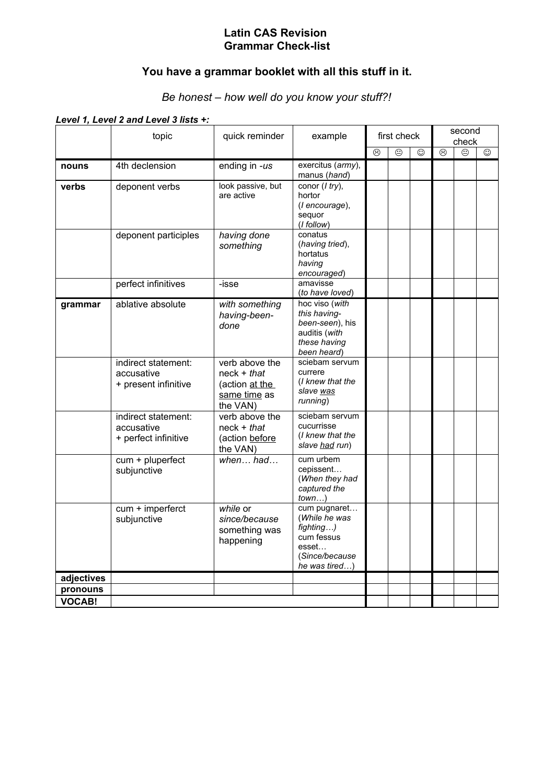#### **Latin CAS Revision Grammar Check-list**

# **You have a grammar booklet with all this stuff in it.**

## *Be honest – how well do you know your stuff?!*

*Level 1, Level 2 and Level 3 lists +:*

|               | topic                                                     | quick reminder                                                                | example                                                                                              |                    | first check                  |   |                    | second<br>check    |   |  |  |
|---------------|-----------------------------------------------------------|-------------------------------------------------------------------------------|------------------------------------------------------------------------------------------------------|--------------------|------------------------------|---|--------------------|--------------------|---|--|--|
|               |                                                           |                                                                               |                                                                                                      | $\overline{\circ}$ | $\overline{\mathop{\oplus}}$ | ☺ | $\overline{\circ}$ | $\overline{\odot}$ | ☺ |  |  |
| nouns         | 4th declension                                            | ending in -us                                                                 | exercitus (army),<br>manus (hand)                                                                    |                    |                              |   |                    |                    |   |  |  |
| verbs         | deponent verbs                                            | look passive, but<br>are active                                               | conor $(1 try)$ ,<br>hortor<br>(I encourage),<br>sequor<br>$(I$ follow $)$                           |                    |                              |   |                    |                    |   |  |  |
|               | deponent participles                                      | having done<br>something                                                      | conatus<br>(having tried),<br>hortatus<br>having<br>encouraged)                                      |                    |                              |   |                    |                    |   |  |  |
|               | perfect infinitives                                       | -isse                                                                         | amavisse<br>(to have loved)                                                                          |                    |                              |   |                    |                    |   |  |  |
| grammar       | ablative absolute                                         | with something<br>having-been-<br>done                                        | hoc viso (with<br>this having-<br>been-seen), his<br>auditis (with<br>these having<br>been heard)    |                    |                              |   |                    |                    |   |  |  |
|               | indirect statement:<br>accusative<br>+ present infinitive | verb above the<br>$neck + that$<br>(action at the<br>same time as<br>the VAN) | sciebam servum<br>currere<br>(I knew that the<br>slave was<br>running)                               |                    |                              |   |                    |                    |   |  |  |
|               | indirect statement:<br>accusative<br>+ perfect infinitive | verb above the<br>$neck + that$<br>(action before<br>the VAN)                 | sciebam servum<br>cucurrisse<br>(I knew that the<br>slave had run)                                   |                    |                              |   |                    |                    |   |  |  |
|               | cum + pluperfect<br>subjunctive                           | $when$ had                                                                    | cum urbem<br>cepissent<br>(When they had<br>captured the<br>town                                     |                    |                              |   |                    |                    |   |  |  |
|               | cum + imperferct<br>subjunctive                           | while or<br>since/because<br>something was<br>happening                       | cum pugnaret<br>(While he was<br>fighting)<br>cum fessus<br>esset<br>(Since/because<br>he was tired) |                    |                              |   |                    |                    |   |  |  |
| adjectives    |                                                           |                                                                               |                                                                                                      |                    |                              |   |                    |                    |   |  |  |
| pronouns      |                                                           |                                                                               |                                                                                                      |                    |                              |   |                    |                    |   |  |  |
| <b>VOCAB!</b> |                                                           |                                                                               |                                                                                                      |                    |                              |   |                    |                    |   |  |  |